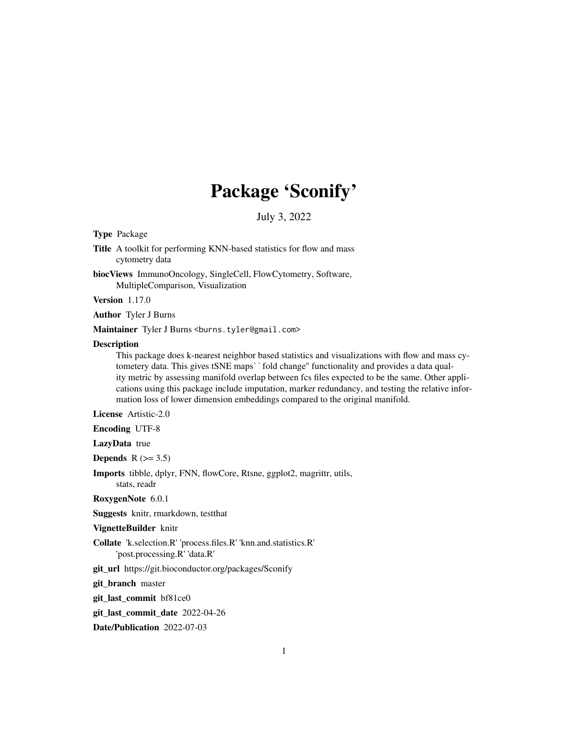# Package 'Sconify'

July 3, 2022

#### Type Package

Title A toolkit for performing KNN-based statistics for flow and mass cytometry data

biocViews ImmunoOncology, SingleCell, FlowCytometry, Software, MultipleComparison, Visualization

Version 1.17.0

Author Tyler J Burns

Maintainer Tyler J Burns <br/>burns.tyler@gmail.com>

#### **Description**

This package does k-nearest neighbor based statistics and visualizations with flow and mass cytometery data. This gives tSNE maps` `fold change" functionality and provides a data quality metric by assessing manifold overlap between fcs files expected to be the same. Other applications using this package include imputation, marker redundancy, and testing the relative information loss of lower dimension embeddings compared to the original manifold.

License Artistic-2.0

Encoding UTF-8

LazyData true

Depends  $R$  ( $>= 3.5$ )

Imports tibble, dplyr, FNN, flowCore, Rtsne, ggplot2, magrittr, utils, stats, readr

RoxygenNote 6.0.1

Suggests knitr, rmarkdown, testthat

VignetteBuilder knitr

Collate 'k.selection.R' 'process.files.R' 'knn.and.statistics.R' 'post.processing.R' 'data.R'

git\_url https://git.bioconductor.org/packages/Sconify

git\_branch master

git\_last\_commit bf81ce0

git last commit date 2022-04-26

Date/Publication 2022-07-03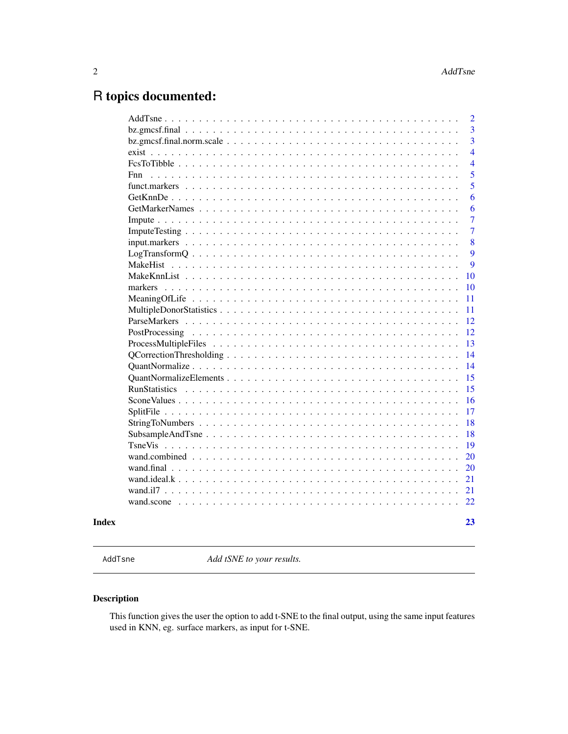## <span id="page-1-0"></span>R topics documented:

| $\overline{2}$ |
|----------------|
| $\overline{3}$ |
| $\overline{3}$ |
| $\overline{4}$ |
| $\overline{4}$ |
| 5<br>Fnn       |
| $\overline{5}$ |
| 6              |
| 6              |
| $\overline{7}$ |
| $\overline{7}$ |
| 8              |
| 9              |
| 9              |
| 10             |
| 10             |
| 11             |
| 11             |
| 12             |
| 12             |
| 13             |
| 14             |
| 14             |
| 15             |
| 15             |
| 16             |
| 17             |
| 18             |
| 18             |
| 19             |
| 20             |
| 20             |
| 21             |
| 21             |
| 22             |
|                |

#### **Index** [23](#page-22-0)

AddTsne *Add tSNE to your results.*

### Description

This function gives the user the option to add t-SNE to the final output, using the same input features used in KNN, eg. surface markers, as input for t-SNE.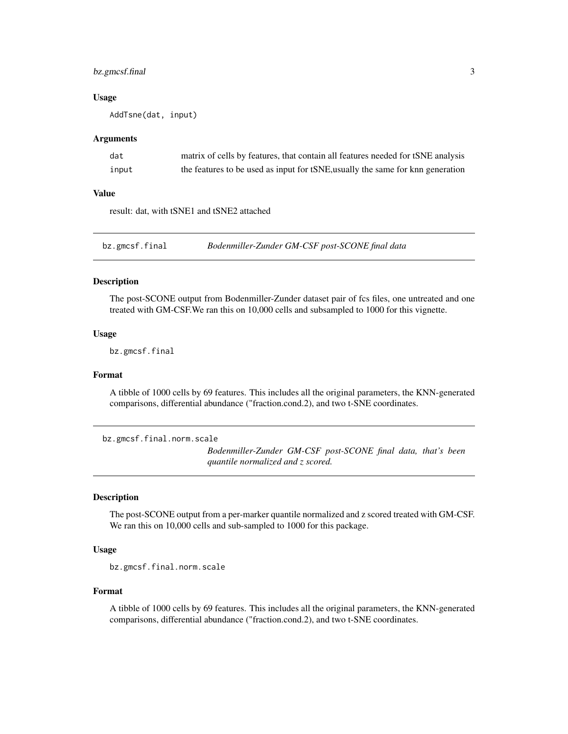#### <span id="page-2-0"></span>bz.gmcsf.final 3

#### Usage

AddTsne(dat, input)

#### Arguments

| dat   | matrix of cells by features, that contain all features needed for tSNE analysis |
|-------|---------------------------------------------------------------------------------|
| input | the features to be used as input for tSNE, usually the same for knn generation  |

#### Value

result: dat, with tSNE1 and tSNE2 attached

bz.gmcsf.final *Bodenmiller-Zunder GM-CSF post-SCONE final data*

#### Description

The post-SCONE output from Bodenmiller-Zunder dataset pair of fcs files, one untreated and one treated with GM-CSF.We ran this on 10,000 cells and subsampled to 1000 for this vignette.

#### Usage

bz.gmcsf.final

#### Format

A tibble of 1000 cells by 69 features. This includes all the original parameters, the KNN-generated comparisons, differential abundance ("fraction.cond.2), and two t-SNE coordinates.

bz.gmcsf.final.norm.scale

*Bodenmiller-Zunder GM-CSF post-SCONE final data, that's been quantile normalized and z scored.*

#### Description

The post-SCONE output from a per-marker quantile normalized and z scored treated with GM-CSF. We ran this on 10,000 cells and sub-sampled to 1000 for this package.

#### Usage

```
bz.gmcsf.final.norm.scale
```
#### Format

A tibble of 1000 cells by 69 features. This includes all the original parameters, the KNN-generated comparisons, differential abundance ("fraction.cond.2), and two t-SNE coordinates.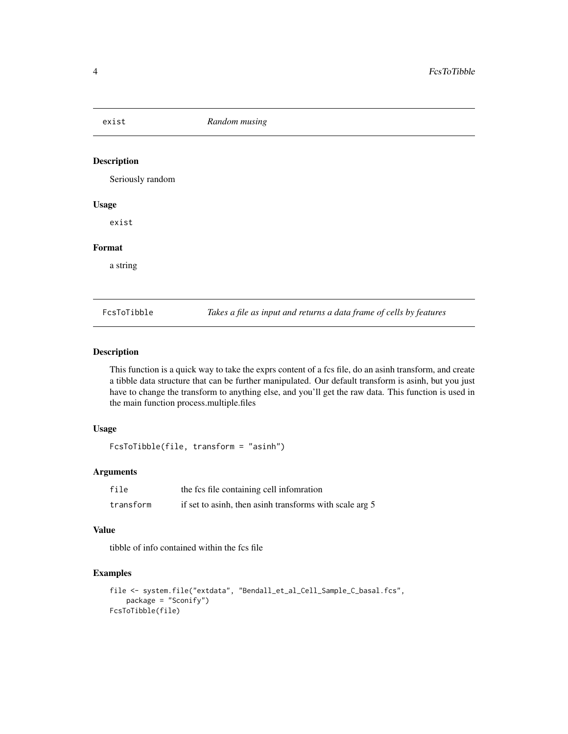<span id="page-3-0"></span>exist *Random musing*

#### Description

Seriously random

#### Usage

exist

#### Format

a string

FcsToTibble *Takes a file as input and returns a data frame of cells by features*

#### Description

This function is a quick way to take the exprs content of a fcs file, do an asinh transform, and create a tibble data structure that can be further manipulated. Our default transform is asinh, but you just have to change the transform to anything else, and you'll get the raw data. This function is used in the main function process.multiple.files

#### Usage

FcsToTibble(file, transform = "asinh")

#### Arguments

| file      | the fcs file containing cell information                |
|-----------|---------------------------------------------------------|
| transform | if set to asinh, then asinh transforms with scale arg 5 |

#### Value

tibble of info contained within the fcs file

#### Examples

```
file <- system.file("extdata", "Bendall_et_al_Cell_Sample_C_basal.fcs",
   package = "Sconify")
FcsToTibble(file)
```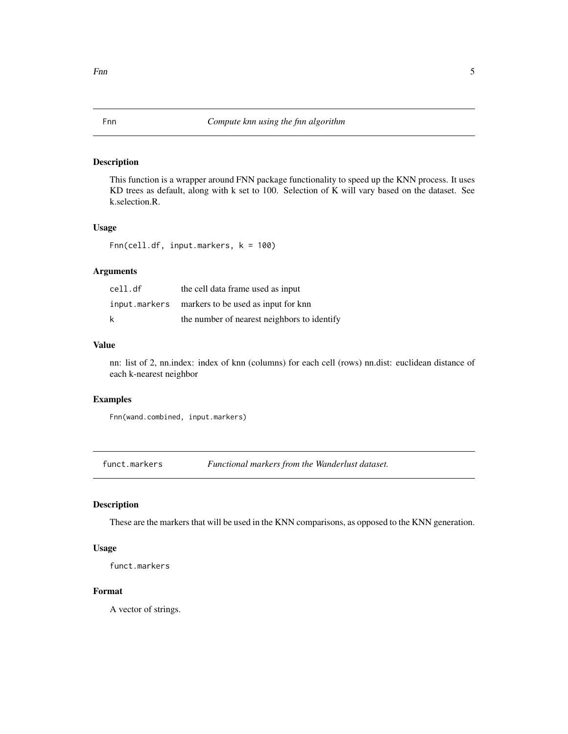<span id="page-4-0"></span>This function is a wrapper around FNN package functionality to speed up the KNN process. It uses KD trees as default, along with k set to 100. Selection of K will vary based on the dataset. See k.selection.R.

#### Usage

Fnn(cell.df, input.markers, k = 100)

#### Arguments

| cell.df | the cell data frame used as input                 |
|---------|---------------------------------------------------|
|         | input.markers markers to be used as input for knn |
| k       | the number of nearest neighbors to identify       |

#### Value

nn: list of 2, nn.index: index of knn (columns) for each cell (rows) nn.dist: euclidean distance of each k-nearest neighbor

#### Examples

Fnn(wand.combined, input.markers)

funct.markers *Functional markers from the Wanderlust dataset.*

#### Description

These are the markers that will be used in the KNN comparisons, as opposed to the KNN generation.

#### Usage

funct.markers

#### Format

A vector of strings.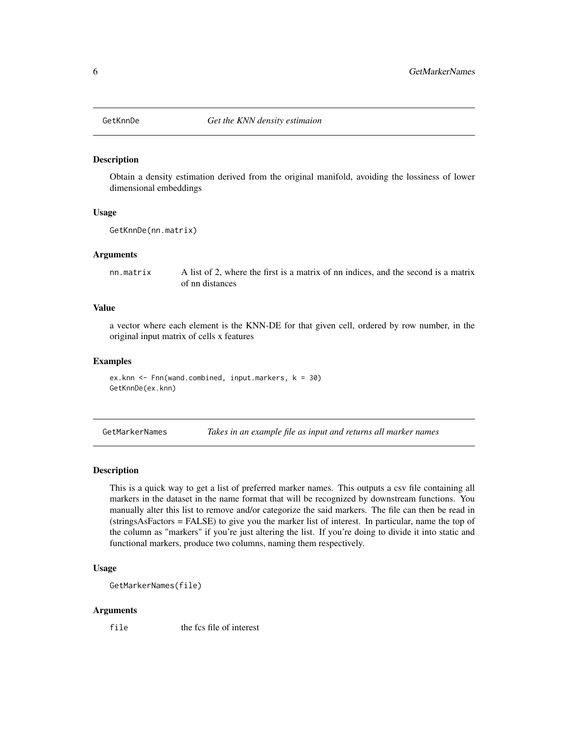<span id="page-5-0"></span>

Obtain a density estimation derived from the original manifold, avoiding the lossiness of lower dimensional embeddings

#### Usage

```
GetKnnDe(nn.matrix)
```
#### Arguments

nn.matrix A list of 2, where the first is a matrix of nn indices, and the second is a matrix of nn distances

#### Value

a vector where each element is the KNN-DE for that given cell, ordered by row number, in the original input matrix of cells x features

#### Examples

ex.knn  $\leq$  Fnn(wand.combined, input.markers,  $k = 30$ ) GetKnnDe(ex.knn)

GetMarkerNames *Takes in an example file as input and returns all marker names*

#### **Description**

This is a quick way to get a list of preferred marker names. This outputs a csv file containing all markers in the dataset in the name format that will be recognized by downstream functions. You manually alter this list to remove and/or categorize the said markers. The file can then be read in (stringsAsFactors = FALSE) to give you the marker list of interest. In particular, name the top of the column as "markers" if you're just altering the list. If you're doing to divide it into static and functional markers, produce two columns, naming them respectively.

#### Usage

```
GetMarkerNames(file)
```
#### Arguments

file the fcs file of interest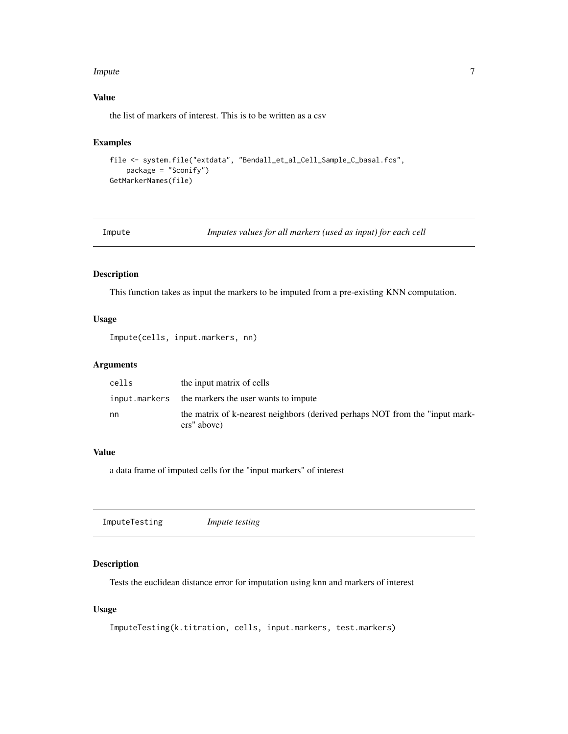#### <span id="page-6-0"></span>**Impute** 7

#### Value

the list of markers of interest. This is to be written as a csv

#### Examples

```
file <- system.file("extdata", "Bendall_et_al_Cell_Sample_C_basal.fcs",
    package = "Sconify")
GetMarkerNames(file)
```

| Impute |  |  | Imputes values for all markers (used as input) for each cell |  |
|--------|--|--|--------------------------------------------------------------|--|
|--------|--|--|--------------------------------------------------------------|--|

#### Description

This function takes as input the markers to be imputed from a pre-existing KNN computation.

#### Usage

```
Impute(cells, input.markers, nn)
```
#### Arguments

| cells | the input matrix of cells                                                                   |
|-------|---------------------------------------------------------------------------------------------|
|       | input.markers the markers the user wants to impute                                          |
| nn    | the matrix of k-nearest neighbors (derived perhaps NOT from the "input mark-<br>ers" above) |

#### Value

a data frame of imputed cells for the "input markers" of interest

|--|--|

#### Description

Tests the euclidean distance error for imputation using knn and markers of interest

#### Usage

```
ImputeTesting(k.titration, cells, input.markers, test.markers)
```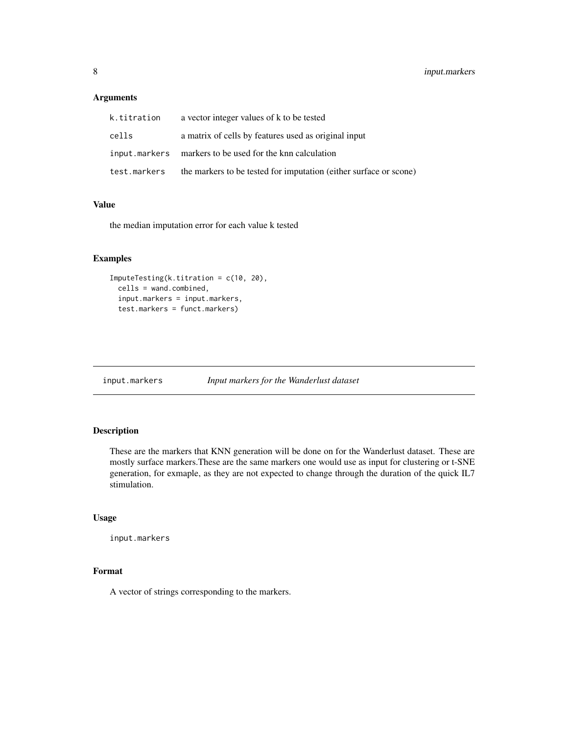#### <span id="page-7-0"></span>Arguments

| k.titration  | a vector integer values of k to be tested                         |
|--------------|-------------------------------------------------------------------|
| cells        | a matrix of cells by features used as original input              |
|              | input.markers markers to be used for the knn calculation          |
| test.markers | the markers to be tested for imputation (either surface or scone) |

#### Value

the median imputation error for each value k tested

#### Examples

```
ImputeTesting(k.titration = c(10, 20),
 cells = wand.combined,
 input.markers = input.markers,
 test.markers = funct.markers)
```
input.markers *Input markers for the Wanderlust dataset*

#### Description

These are the markers that KNN generation will be done on for the Wanderlust dataset. These are mostly surface markers.These are the same markers one would use as input for clustering or t-SNE generation, for exmaple, as they are not expected to change through the duration of the quick IL7 stimulation.

#### Usage

input.markers

#### Format

A vector of strings corresponding to the markers.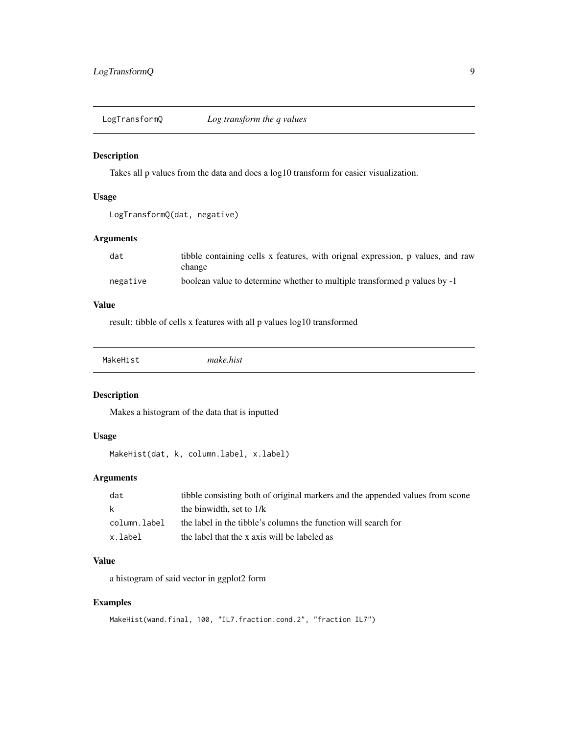<span id="page-8-0"></span>

Takes all p values from the data and does a log10 transform for easier visualization.

#### Usage

LogTransformQ(dat, negative)

#### Arguments

| dat      | tibble containing cells x features, with orignal expression, p values, and raw |
|----------|--------------------------------------------------------------------------------|
|          | change                                                                         |
| negative | boolean value to determine whether to multiple transformed p values by -1      |

#### Value

result: tibble of cells x features with all p values log10 transformed

MakeHist *make.hist*

#### Description

Makes a histogram of the data that is inputted

#### Usage

MakeHist(dat, k, column.label, x.label)

#### Arguments

| dat          | tibble consisting both of original markers and the appended values from scone |
|--------------|-------------------------------------------------------------------------------|
| k.           | the binwidth, set to $1/k$                                                    |
| column.label | the label in the tibble's columns the function will search for                |
| x.label      | the label that the x axis will be labeled as                                  |

#### Value

a histogram of said vector in ggplot2 form

#### Examples

```
MakeHist(wand.final, 100, "IL7.fraction.cond.2", "fraction IL7")
```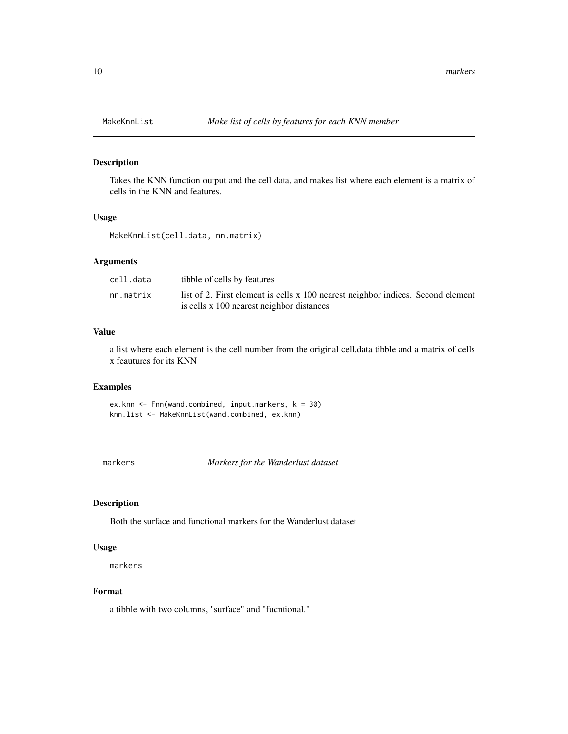<span id="page-9-0"></span>

Takes the KNN function output and the cell data, and makes list where each element is a matrix of cells in the KNN and features.

#### Usage

MakeKnnList(cell.data, nn.matrix)

#### Arguments

| cell.data | tibble of cells by features                                                      |
|-----------|----------------------------------------------------------------------------------|
| nn.matrix | list of 2. First element is cells x 100 nearest neighbor indices. Second element |
|           | is cells x 100 nearest neighbor distances                                        |

#### Value

a list where each element is the cell number from the original cell.data tibble and a matrix of cells x feautures for its KNN

#### Examples

ex.knn  $\leq$  Fnn(wand.combined, input.markers,  $k = 30$ ) knn.list <- MakeKnnList(wand.combined, ex.knn)

markers *Markers for the Wanderlust dataset*

#### Description

Both the surface and functional markers for the Wanderlust dataset

#### Usage

markers

#### Format

a tibble with two columns, "surface" and "fucntional."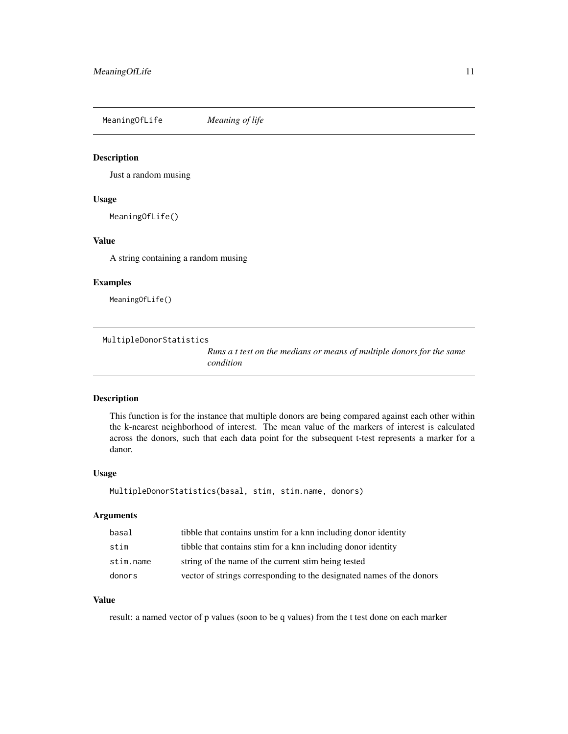<span id="page-10-0"></span>MeaningOfLife *Meaning of life*

#### Description

Just a random musing

#### Usage

MeaningOfLife()

#### Value

A string containing a random musing

#### Examples

MeaningOfLife()

MultipleDonorStatistics

*Runs a t test on the medians or means of multiple donors for the same condition*

#### Description

This function is for the instance that multiple donors are being compared against each other within the k-nearest neighborhood of interest. The mean value of the markers of interest is calculated across the donors, such that each data point for the subsequent t-test represents a marker for a danor.

#### Usage

MultipleDonorStatistics(basal, stim, stim.name, donors)

#### Arguments

| basal     | tibble that contains unstim for a knn including donor identity        |
|-----------|-----------------------------------------------------------------------|
| stim      | tibble that contains stim for a knn including donor identity          |
| stim.name | string of the name of the current stim being tested                   |
| donors    | vector of strings corresponding to the designated names of the donors |

#### Value

result: a named vector of p values (soon to be q values) from the t test done on each marker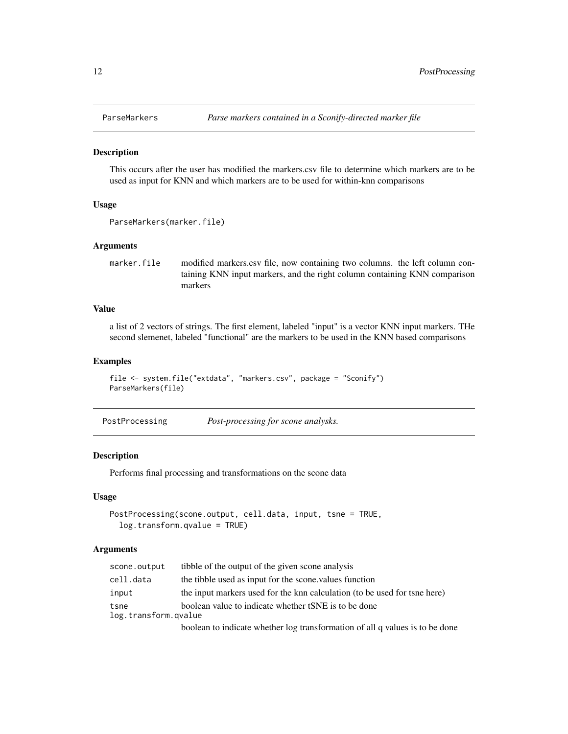<span id="page-11-0"></span>

This occurs after the user has modified the markers.csv file to determine which markers are to be used as input for KNN and which markers are to be used for within-knn comparisons

#### Usage

```
ParseMarkers(marker.file)
```
#### Arguments

marker.file modified markers.csv file, now containing two columns. the left column containing KNN input markers, and the right column containing KNN comparison markers

#### Value

a list of 2 vectors of strings. The first element, labeled "input" is a vector KNN input markers. THe second slemenet, labeled "functional" are the markers to be used in the KNN based comparisons

#### Examples

```
file <- system.file("extdata", "markers.csv", package = "Sconify")
ParseMarkers(file)
```
#### Description

Performs final processing and transformations on the scone data

#### Usage

```
PostProcessing(scone.output, cell.data, input, tsne = TRUE,
  log.transform.qvalue = TRUE)
```
#### **Arguments**

| scone.output         | tibble of the output of the given scone analysis                             |
|----------------------|------------------------------------------------------------------------------|
| cell.data            | the tibble used as input for the scone, values function                      |
| input                | the input markers used for the knn calculation (to be used for tsne here)    |
| tsne                 | boolean value to indicate whether tSNE is to be done                         |
| log.transform.gvalue |                                                                              |
|                      | boolean to indicate whether log transformation of all q values is to be done |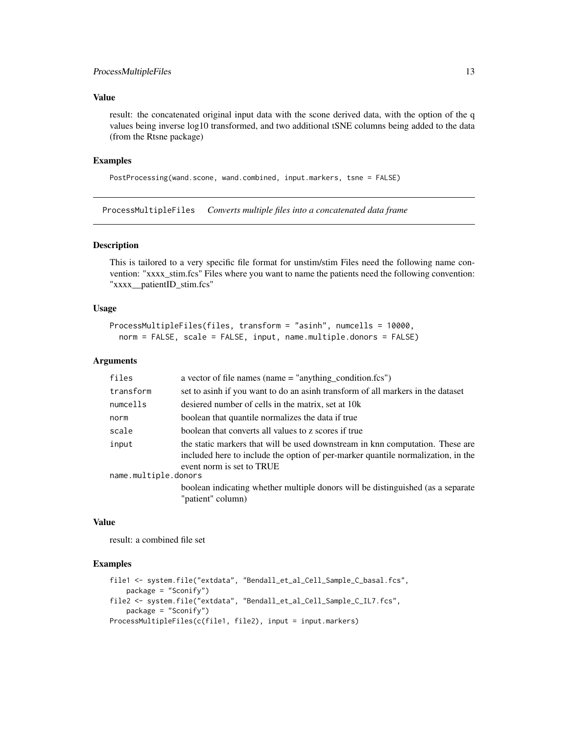#### <span id="page-12-0"></span>ProcessMultipleFiles 13

#### Value

result: the concatenated original input data with the scone derived data, with the option of the q values being inverse log10 transformed, and two additional tSNE columns being added to the data (from the Rtsne package)

#### Examples

```
PostProcessing(wand.scone, wand.combined, input.markers, tsne = FALSE)
```
ProcessMultipleFiles *Converts multiple files into a concatenated data frame*

#### Description

This is tailored to a very specific file format for unstim/stim Files need the following name convention: "xxxx\_stim.fcs" Files where you want to name the patients need the following convention: "xxxx\_\_patientID\_stim.fcs"

#### Usage

```
ProcessMultipleFiles(files, transform = "asinh", numcells = 10000,
  norm = FALSE, scale = FALSE, input, name.multiple.donors = FALSE)
```
#### **Arguments**

| files                | a vector of file names (name $=$ "anything condition.fcs")                                                                                                                                     |  |
|----------------------|------------------------------------------------------------------------------------------------------------------------------------------------------------------------------------------------|--|
| transform            | set to asinh if you want to do an asinh transform of all markers in the dataset                                                                                                                |  |
| numcells             | desiered number of cells in the matrix, set at 10k                                                                                                                                             |  |
| norm                 | boolean that quantile normalizes the data if true                                                                                                                                              |  |
| scale                | boolean that converts all values to z scores if true                                                                                                                                           |  |
| input                | the static markers that will be used downstream in knn computation. These are<br>included here to include the option of per-marker quantile normalization, in the<br>event norm is set to TRUE |  |
| name.multiple.donors |                                                                                                                                                                                                |  |
|                      | boolean indicating whether multiple donors will be distinguished (as a separate                                                                                                                |  |
|                      | "patient" column)                                                                                                                                                                              |  |

#### Value

result: a combined file set

#### Examples

```
file1 <- system.file("extdata", "Bendall_et_al_Cell_Sample_C_basal.fcs",
   package = "Sconify")
file2 <- system.file("extdata", "Bendall_et_al_Cell_Sample_C_IL7.fcs",
    package = "Sconify")
ProcessMultipleFiles(c(file1, file2), input = input.markers)
```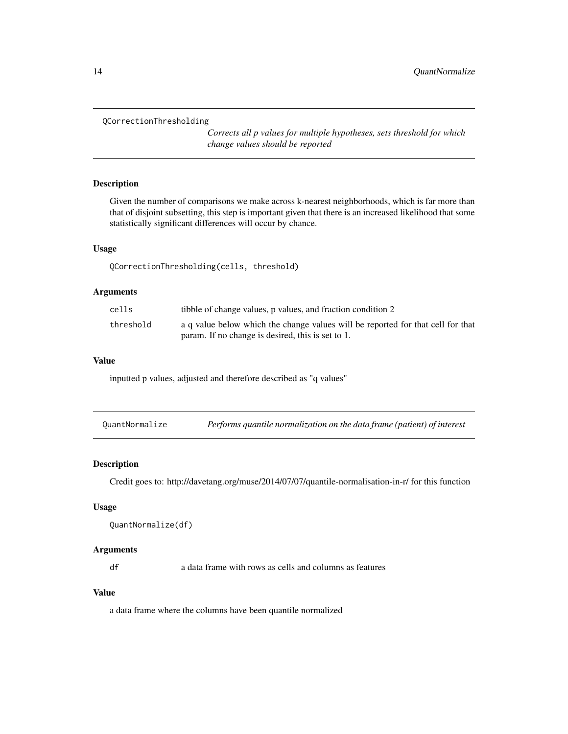```
QCorrectionThresholding
```
*Corrects all p values for multiple hypotheses, sets threshold for which change values should be reported*

#### Description

Given the number of comparisons we make across k-nearest neighborhoods, which is far more than that of disjoint subsetting, this step is important given that there is an increased likelihood that some statistically significant differences will occur by chance.

#### Usage

QCorrectionThresholding(cells, threshold)

#### Arguments

| cells     | tibble of change values, p values, and fraction condition 2                     |
|-----------|---------------------------------------------------------------------------------|
| threshold | a q value below which the change values will be reported for that cell for that |
|           | param. If no change is desired, this is set to 1.                               |

#### Value

inputted p values, adjusted and therefore described as "q values"

| QuantNormalize | Performs quantile normalization on the data frame (patient) of interest |  |
|----------------|-------------------------------------------------------------------------|--|
|----------------|-------------------------------------------------------------------------|--|

#### Description

Credit goes to: http://davetang.org/muse/2014/07/07/quantile-normalisation-in-r/ for this function

#### Usage

```
QuantNormalize(df)
```
#### Arguments

df a data frame with rows as cells and columns as features

#### Value

a data frame where the columns have been quantile normalized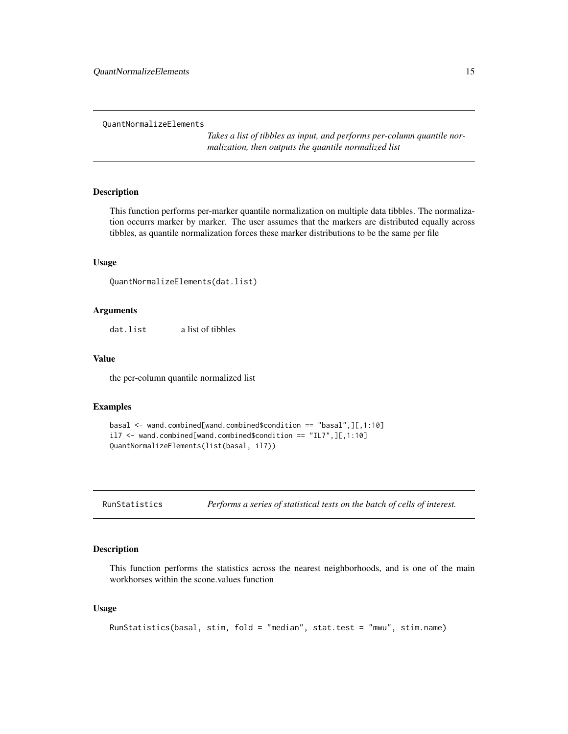<span id="page-14-0"></span>QuantNormalizeElements

*Takes a list of tibbles as input, and performs per-column quantile normalization, then outputs the quantile normalized list*

#### Description

This function performs per-marker quantile normalization on multiple data tibbles. The normalization occurrs marker by marker. The user assumes that the markers are distributed equally across tibbles, as quantile normalization forces these marker distributions to be the same per file

#### Usage

```
QuantNormalizeElements(dat.list)
```
#### Arguments

dat.list a list of tibbles

#### Value

the per-column quantile normalized list

#### Examples

```
basal <- wand.combined[wand.combined$condition == "basal",][,1:10]
il7 \leq wand.combined[wand.combined$condition == "IL7", ][,1:10]
QuantNormalizeElements(list(basal, il7))
```
RunStatistics *Performs a series of statistical tests on the batch of cells of interest.*

#### Description

This function performs the statistics across the nearest neighborhoods, and is one of the main workhorses within the scone.values function

#### Usage

```
RunStatistics(basal, stim, fold = "median", stat.test = "mwu", stim.name)
```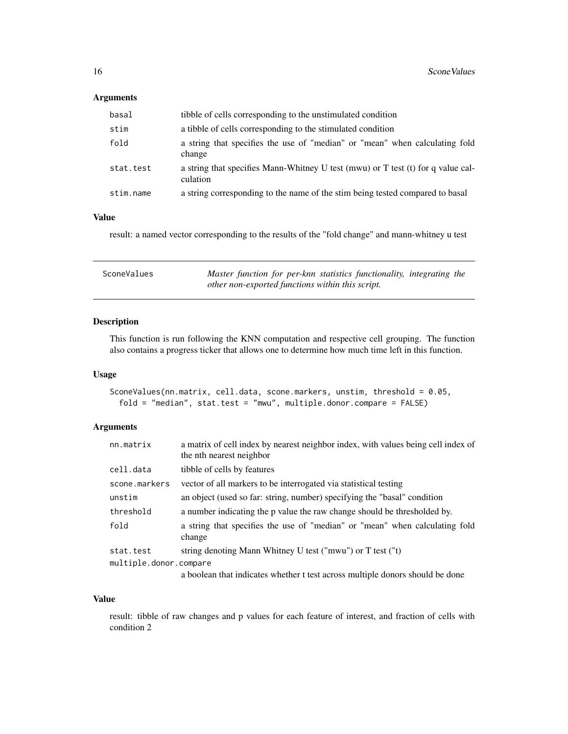#### <span id="page-15-0"></span>Arguments

| basal     | tibble of cells corresponding to the unstimulated condition                                  |
|-----------|----------------------------------------------------------------------------------------------|
| stim      | a tibble of cells corresponding to the stimulated condition                                  |
| fold      | a string that specifies the use of "median" or "mean" when calculating fold<br>change        |
| stat.test | a string that specifies Mann-Whitney U test (mwu) or T test (t) for q value cal-<br>culation |
| stim.name | a string corresponding to the name of the stim being tested compared to basal                |

#### Value

result: a named vector corresponding to the results of the "fold change" and mann-whitney u test

| SconeValues | Master function for per-knn statistics functionality, integrating the |
|-------------|-----------------------------------------------------------------------|
|             | other non-exported functions within this script.                      |

#### Description

This function is run following the KNN computation and respective cell grouping. The function also contains a progress ticker that allows one to determine how much time left in this function.

#### Usage

```
SconeValues(nn.matrix, cell.data, scone.markers, unstim, threshold = 0.05,
 fold = "median", stat.test = "mwu", multiple.donor.compare = FALSE)
```
#### Arguments

| nn.matrix              | a matrix of cell index by nearest neighbor index, with values being cell index of<br>the nth nearest neighbor |
|------------------------|---------------------------------------------------------------------------------------------------------------|
| cell.data              | tibble of cells by features                                                                                   |
| scone.markers          | vector of all markers to be interrogated via statistical testing                                              |
| unstim                 | an object (used so far: string, number) specifying the "basal" condition                                      |
| threshold              | a number indicating the p value the raw change should be thresholded by.                                      |
| fold                   | a string that specifies the use of "median" or "mean" when calculating fold<br>change                         |
| stat.test              | string denoting Mann Whitney U test ("mwu") or T test ("t)                                                    |
| multiple.donor.compare |                                                                                                               |
|                        | a boolean that indicates whether t test across multiple donors should be done                                 |

#### Value

result: tibble of raw changes and p values for each feature of interest, and fraction of cells with condition 2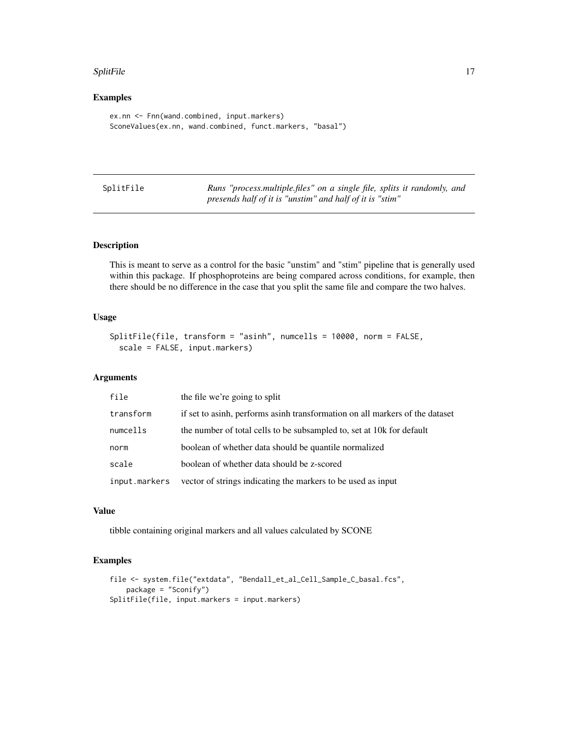#### <span id="page-16-0"></span>SplitFile 2012 17

#### Examples

```
ex.nn <- Fnn(wand.combined, input.markers)
SconeValues(ex.nn, wand.combined, funct.markers, "basal")
```

| SplitFile | Runs "process.multiple.files" on a single file, splits it randomly, and |
|-----------|-------------------------------------------------------------------------|
|           | presends half of it is "unstim" and half of it is "stim"                |

#### Description

This is meant to serve as a control for the basic "unstim" and "stim" pipeline that is generally used within this package. If phosphoproteins are being compared across conditions, for example, then there should be no difference in the case that you split the same file and compare the two halves.

#### Usage

```
SplitFile(file, transform = "asinh", numcells = 10000, norm = FALSE,
  scale = FALSE, input.markers)
```
#### Arguments

| file          | the file we're going to split                                                |
|---------------|------------------------------------------------------------------------------|
| transform     | if set to asinh, performs asinh transformation on all markers of the dataset |
| numcells      | the number of total cells to be subsampled to, set at 10k for default        |
| norm          | boolean of whether data should be quantile normalized                        |
| scale         | boolean of whether data should be z-scored                                   |
| input.markers | vector of strings indicating the markers to be used as input                 |

#### Value

tibble containing original markers and all values calculated by SCONE

#### Examples

```
file <- system.file("extdata", "Bendall_et_al_Cell_Sample_C_basal.fcs",
    package = "Sconify")
SplitFile(file, input.markers = input.markers)
```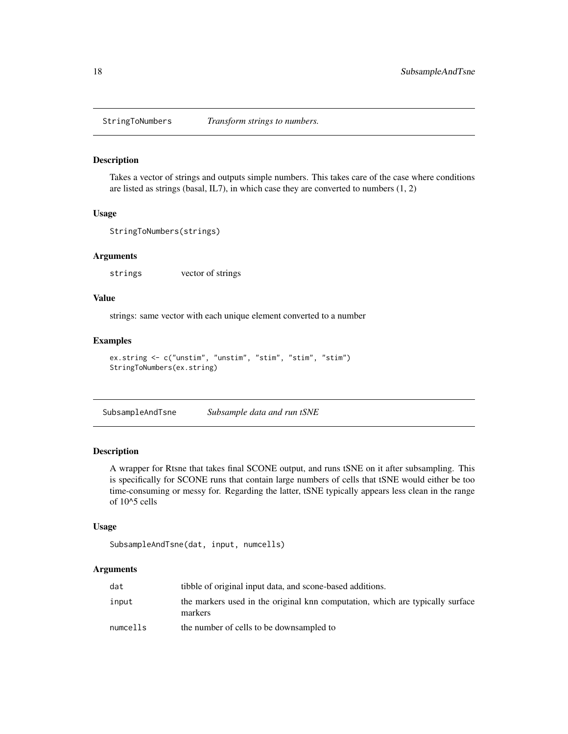<span id="page-17-0"></span>

Takes a vector of strings and outputs simple numbers. This takes care of the case where conditions are listed as strings (basal, IL7), in which case they are converted to numbers (1, 2)

#### Usage

```
StringToNumbers(strings)
```
#### Arguments

strings vector of strings

#### Value

strings: same vector with each unique element converted to a number

#### Examples

```
ex.string <- c("unstim", "unstim", "stim", "stim", "stim")
StringToNumbers(ex.string)
```
SubsampleAndTsne *Subsample data and run tSNE*

#### Description

A wrapper for Rtsne that takes final SCONE output, and runs tSNE on it after subsampling. This is specifically for SCONE runs that contain large numbers of cells that tSNE would either be too time-consuming or messy for. Regarding the latter, tSNE typically appears less clean in the range of 10^5 cells

#### Usage

```
SubsampleAndTsne(dat, input, numcells)
```
#### Arguments

| dat      | tibble of original input data, and scone-based additions.                                |
|----------|------------------------------------------------------------------------------------------|
| input    | the markers used in the original knn computation, which are typically surface<br>markers |
| numcells | the number of cells to be downsampled to                                                 |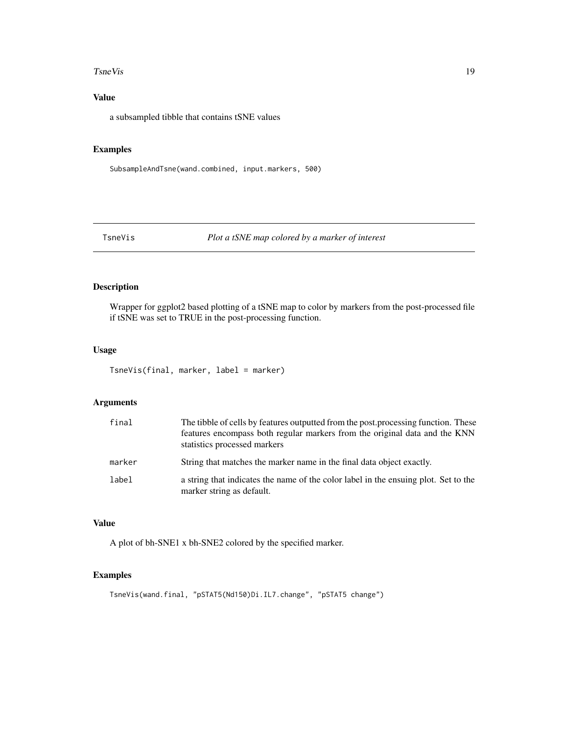#### <span id="page-18-0"></span>TsneVis 19

#### Value

a subsampled tibble that contains tSNE values

#### Examples

SubsampleAndTsne(wand.combined, input.markers, 500)

#### TsneVis *Plot a tSNE map colored by a marker of interest*

#### Description

Wrapper for ggplot2 based plotting of a tSNE map to color by markers from the post-processed file if tSNE was set to TRUE in the post-processing function.

#### Usage

```
TsneVis(final, marker, label = marker)
```
#### Arguments

| final  | The tibble of cells by features outputted from the post, processing function. These<br>features encompass both regular markers from the original data and the KNN<br>statistics processed markers |
|--------|---------------------------------------------------------------------------------------------------------------------------------------------------------------------------------------------------|
| marker | String that matches the marker name in the final data object exactly.                                                                                                                             |
| label  | a string that indicates the name of the color label in the ensuing plot. Set to the<br>marker string as default.                                                                                  |

#### Value

A plot of bh-SNE1 x bh-SNE2 colored by the specified marker.

#### Examples

TsneVis(wand.final, "pSTAT5(Nd150)Di.IL7.change", "pSTAT5 change")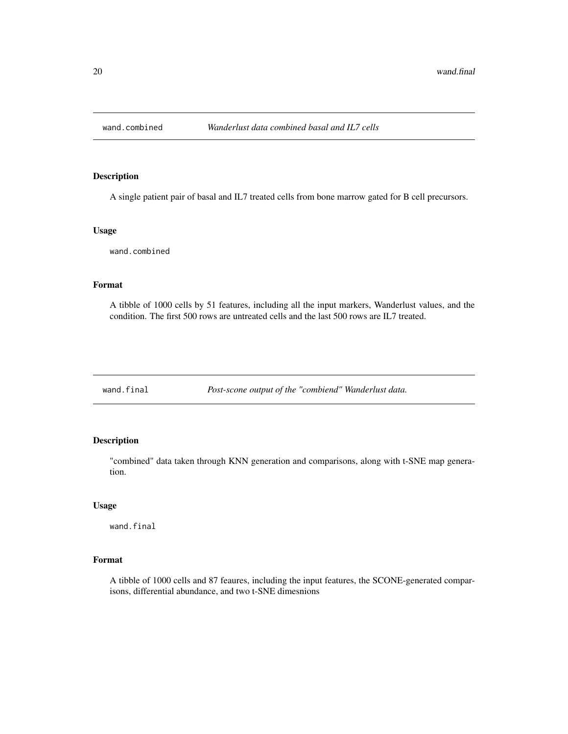<span id="page-19-0"></span>

A single patient pair of basal and IL7 treated cells from bone marrow gated for B cell precursors.

#### Usage

wand.combined

#### Format

A tibble of 1000 cells by 51 features, including all the input markers, Wanderlust values, and the condition. The first 500 rows are untreated cells and the last 500 rows are IL7 treated.

wand.final *Post-scone output of the "combiend" Wanderlust data.*

#### Description

"combined" data taken through KNN generation and comparisons, along with t-SNE map generation.

#### Usage

wand.final

#### Format

A tibble of 1000 cells and 87 feaures, including the input features, the SCONE-generated comparisons, differential abundance, and two t-SNE dimesnions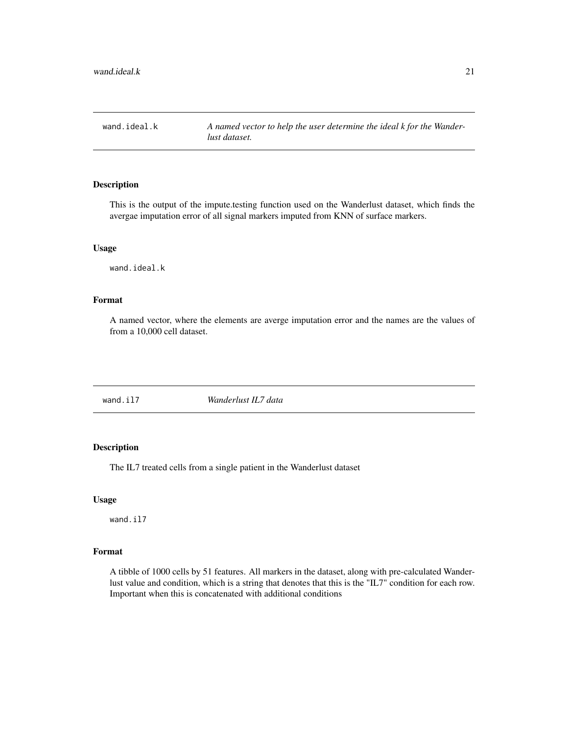<span id="page-20-0"></span>wand.ideal.k *A named vector to help the user determine the ideal k for the Wanderlust dataset.*

#### Description

This is the output of the impute.testing function used on the Wanderlust dataset, which finds the avergae imputation error of all signal markers imputed from KNN of surface markers.

#### Usage

wand.ideal.k

#### Format

A named vector, where the elements are averge imputation error and the names are the values of from a 10,000 cell dataset.

| wand.il7 | Wanderlust IL7 data |  |
|----------|---------------------|--|
|----------|---------------------|--|

#### Description

The IL7 treated cells from a single patient in the Wanderlust dataset

#### Usage

wand.il7

#### Format

A tibble of 1000 cells by 51 features. All markers in the dataset, along with pre-calculated Wanderlust value and condition, which is a string that denotes that this is the "IL7" condition for each row. Important when this is concatenated with additional conditions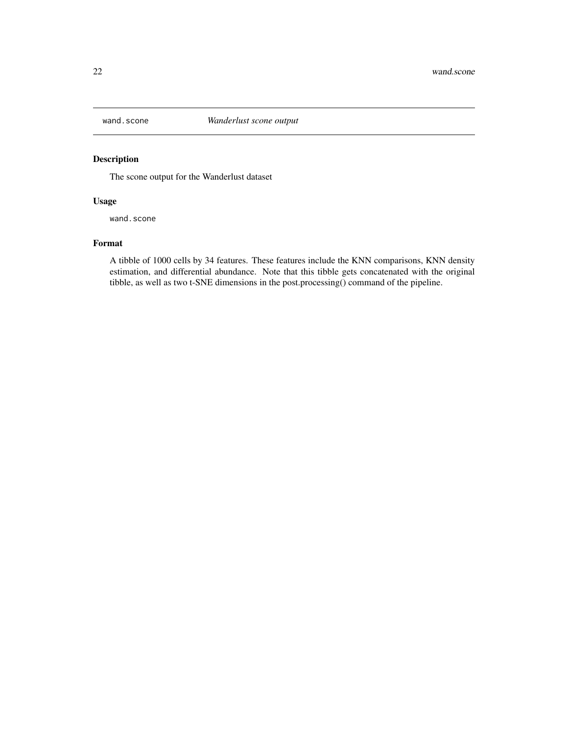<span id="page-21-0"></span>

The scone output for the Wanderlust dataset

#### Usage

wand.scone

#### Format

A tibble of 1000 cells by 34 features. These features include the KNN comparisons, KNN density estimation, and differential abundance. Note that this tibble gets concatenated with the original tibble, as well as two t-SNE dimensions in the post.processing() command of the pipeline.